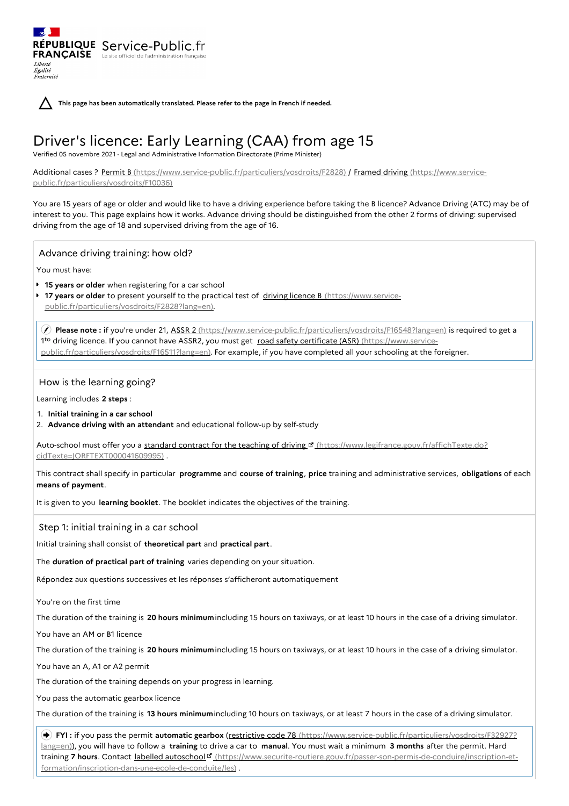**This page has been automatically translated. Please refer to the page in French if needed.**

# Driver's licence: Early Learning (CAA) from age 15

Verified 05 novembre 2021 - Legal and Administrative Information Directorate (Prime Minister)

Additional cases ? Permit B [\(https://www.service-public.fr/particuliers/vosdroits/F2828\)](https://www.service-public.fr/particuliers/vosdroits/F10036) / Framed driving (https://www.servicepublic.fr/particuliers/vosdroits/F10036)

You are 15 years of age or older and would like to have a driving experience before taking the B licence? Advance Driving (ATC) may be of interest to you. This page explains how it works. Advance driving should be distinguished from the other 2 forms of driving: supervised driving from the age of 18 and supervised driving from the age of 16.

Advance driving training: how old?

RÉPUBLIQUE Service-Public.fr **FRANÇAISE** Le site officiel de l'administration fran

You must have:

Liberté Égalité Fraternité

- **15 years or older** when registering for a car school
- $\mathbf{r}$ **17 years or older** to present yourself to the practical test of driving licence B (https://www.service[public.fr/particuliers/vosdroits/F2828?lang=en\).](https://www.service-public.fr/particuliers/vosdroits/F2828?lang=en)

 **Please note :** if you're under 21, ASSR 2 [\(https://www.service-public.fr/particuliers/vosdroits/F16548?lang=en\)](https://www.service-public.fr/particuliers/vosdroits/F16548?lang=en) is required to get a 1<sup>to</sup> driving licence. If you cannot have ASSR2, you must get road safety certificate (ASR) (https://www.service[public.fr/particuliers/vosdroits/F16511?lang=en\).](https://www.service-public.fr/particuliers/vosdroits/F16511?lang=en) For example, if you have completed all your schooling at the foreigner.

## How is the learning going?

Learning includes **2 steps** :

- 1. **Initial training in a car school**
- 2. **Advance driving with an attendant** and educational follow-up by self-study

Auto-school must offer you a standard contract for the teaching of driving E [\(https://www.legifrance.gouv.fr/affichTexte.do?](https://www.legifrance.gouv.fr/affichTexte.do?cidTexte=JORFTEXT000041609995) cidTexte=JORFTEXT000041609995) .

This contract shall specify in particular **programme** and **course of training**, **price** training and administrative services, **obligations** of each **means of payment**.

It is given to you **learning booklet**. The booklet indicates the objectives of the training.

Step 1: initial training in a car school

Initial training shall consist of **theoretical part** and **practical part**.

The **duration of practical part of training** varies depending on your situation.

Répondez aux questions successives et les réponses s'afficheront automatiquement

You're on the first time

The duration of the training is **20 hours minimum**including 15 hours on taxiways, or at least 10 hours in the case of a driving simulator.

You have an AM or B1 licence

The duration of the training is **20 hours minimum**including 15 hours on taxiways, or at least 10 hours in the case of a driving simulator.

You have an A, A1 or A2 permit

The duration of the training depends on your progress in learning.

You pass the automatic gearbox licence

The duration of the training is **13 hours minimum**including 10 hours on taxiways, or at least 7 hours in the case of a driving simulator.

 **FYI :** if you pass the permit **automatic gearbox** (restrictive code 78 [\(https://www.service-public.fr/particuliers/vosdroits/F32927?](https://www.service-public.fr/particuliers/vosdroits/F32927?lang=en) lang=en)), you will have to follow a **training** to drive a car to **manual**. You must wait a minimum **3 months** after the permit. Hard training 7 hours. Contact labelled autoschool<sup>d</sup> [\(https://www.securite-routiere.gouv.fr/passer-son-permis-de-conduire/inscription-et](https://www.securite-routiere.gouv.fr/passer-son-permis-de-conduire/inscription-et-formation/inscription-dans-une-ecole-de-conduite/les)formation/inscription-dans-une-ecole-de-conduite/les) .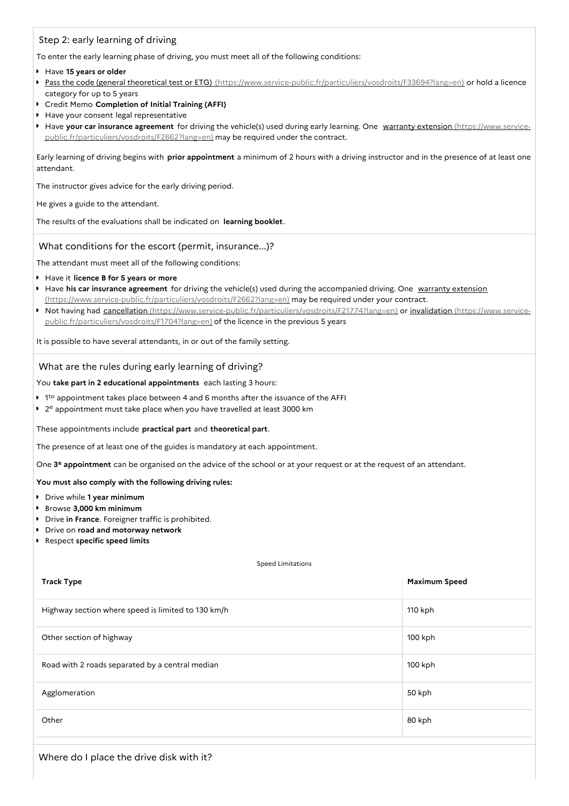# Step 2: early learning of driving

To enter the early learning phase of driving, you must meet all of the following conditions:

- Have **15 years or older**
- Pass the code (general theoretical test or ETG) [\(https://www.service-public.fr/particuliers/vosdroits/F33694?lang=en\)](https://www.service-public.fr/particuliers/vosdroits/F33694?lang=en) or hold a licence category for up to 5 years
- Credit Memo **Completion of Initial Training (AFFI)**
- Have your consent legal representative
- Have **your car insurance agreement** for driving the vehicle(s) used during early learning. One warranty extension (https://www.service[public.fr/particuliers/vosdroits/F2662?lang=en\)](https://www.service-public.fr/particuliers/vosdroits/F2662?lang=en) may be required under the contract.

Early learning of driving begins with **prior appointment** a minimum of 2 hours with a driving instructor and in the presence of at least one attendant.

The instructor gives advice for the early driving period.

He gives a guide to the attendant.

The results of the evaluations shall be indicated on **learning booklet**.

## What conditions for the escort (permit, insurance...)?

The attendant must meet all of the following conditions:

- Have it **licence B for 5 years or more**
- Have **his car insurance agreement** for driving the vehicle(s) used during the accompanied driving. One warranty extension [\(https://www.service-public.fr/particuliers/vosdroits/F2662?lang=en\)](https://www.service-public.fr/particuliers/vosdroits/F2662?lang=en) may be required under your contract.
- Not having had cancellation [\(https://www.service-public.fr/particuliers/vosdroits/F21774?lang=en\)](https://www.service-public.fr/particuliers/vosdroits/F21774?lang=en) or invalidation (https://www.servicepublic.fr/particuliers/vosdroits/F1704?lang=en) of the licence in the previous 5 years

It is possible to have several attendants, in or out of the family setting.

What are the rules during early learning of driving?

You **take part in 2 educational appointments** each lasting 3 hours:

- $1<sup>to</sup>$  appointment takes place between 4 and 6 months after the issuance of the AFFI
- 2 <sup>e</sup> appointment must take place when you have travelled at least 3000 km

These appointments include **practical part** and **theoretical part**.

The presence of at least one of the guides is mandatory at each appointment.

One 3<sup>e</sup> appointment can be organised on the advice of the school or at your request or at the request of an attendant.

### **You must also comply with the following driving rules:**

- Drive while **1 year minimum**
- Browse **3,000 km minimum**
- Drive **in France**. Foreigner traffic is prohibited.
- Drive on **road and motorway network**
- Respect **specific speed limits**

#### Speed Limitations

| <b>Track Type</b>                                  | Maximum Speed |
|----------------------------------------------------|---------------|
| Highway section where speed is limited to 130 km/h | 110 kph       |
| Other section of highway                           | 100 kph       |
| Road with 2 roads separated by a central median    | 100 kph       |
| Agglomeration                                      | 50 kph        |
| Other                                              | 80 kph        |

Where do I place the drive disk with it?